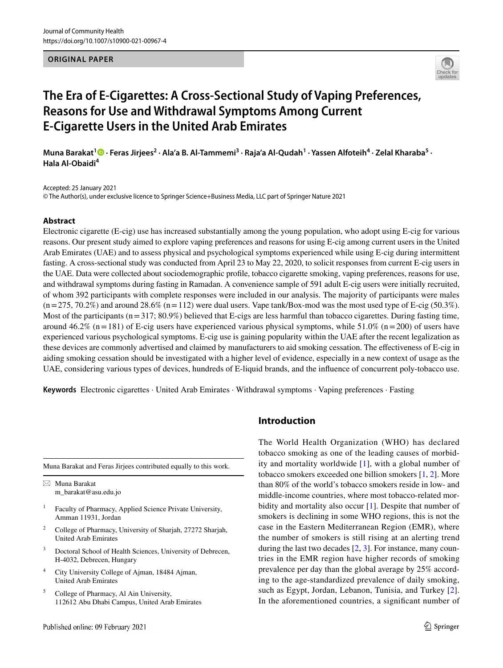#### **ORIGINAL PAPER**



# **The Era of E‑Cigarettes: A Cross‑Sectional Study of Vaping Preferences, Reasons for Use and Withdrawal Symptoms Among Current E‑Cigarette Users in the United Arab Emirates**

Muna Barakat<sup>1</sup> D • Feras Jirjees<sup>2</sup> • Ala'a B. Al-Tammemi<sup>3</sup> • Raja'a Al-Qudah<sup>1</sup> • Yassen Alfoteih<sup>4</sup> • Zelal Kharaba<sup>5</sup> • **Hala Al‑Obaidi<sup>4</sup>**

Accepted: 25 January 2021

© The Author(s), under exclusive licence to Springer Science+Business Media, LLC part of Springer Nature 2021

## **Abstract**

Electronic cigarette (E-cig) use has increased substantially among the young population, who adopt using E-cig for various reasons. Our present study aimed to explore vaping preferences and reasons for using E-cig among current users in the United Arab Emirates (UAE) and to assess physical and psychological symptoms experienced while using E-cig during intermittent fasting. A cross-sectional study was conducted from April 23 to May 22, 2020, to solicit responses from current E-cig users in the UAE. Data were collected about sociodemographic profile, tobacco cigarette smoking, vaping preferences, reasons for use, and withdrawal symptoms during fasting in Ramadan. A convenience sample of 591 adult E-cig users were initially recruited, of whom 392 participants with complete responses were included in our analysis. The majority of participants were males  $(n = 275, 70.2\%)$  and around  $28.6\%$   $(n = 112)$  were dual users. Vape tank/Box-mod was the most used type of E-cig (50.3%). Most of the participants ( $n = 317$ ; 80.9%) believed that E-cigs are less harmful than tobacco cigarettes. During fasting time, around 46.2% (n = 181) of E-cig users have experienced various physical symptoms, while  $51.0\%$  (n = 200) of users have experienced various psychological symptoms. E-cig use is gaining popularity within the UAE after the recent legalization as these devices are commonly advertised and claimed by manufacturers to aid smoking cessation. The effectiveness of E-cig in aiding smoking cessation should be investigated with a higher level of evidence, especially in a new context of usage as the UAE, considering various types of devices, hundreds of E-liquid brands, and the influence of concurrent poly-tobacco use.

**Keywords** Electronic cigarettes · United Arab Emirates · Withdrawal symptoms · Vaping preferences · Fasting

Muna Barakat and Feras Jirjees contributed equally to this work.

 $\boxtimes$  Muna Barakat m\_barakat@asu.edu.jo

- 1 Faculty of Pharmacy, Applied Science Private University, Amman 11931, Jordan
- 2 College of Pharmacy, University of Sharjah, 27272 Sharjah, United Arab Emirates
- 3 Doctoral School of Health Sciences, University of Debrecen, H-4032, Debrecen, Hungary
- 4 City University College of Ajman, 18484 Ajman, United Arab Emirates
- 5 College of Pharmacy, Al Ain University, 112612 Abu Dhabi Campus, United Arab Emirates

# **Introduction**

The World Health Organization (WHO) has declared tobacco smoking as one of the leading causes of morbidity and mortality worldwide [\[1\]](#page-9-0), with a global number of tobacco smokers exceeded one billion smokers [\[1](#page-9-0), [2](#page-9-1)]. More than 80% of the world's tobacco smokers reside in low- and middle-income countries, where most tobacco-related mor-bidity and mortality also occur [\[1](#page-9-0)]. Despite that number of smokers is declining in some WHO regions, this is not the case in the Eastern Mediterranean Region (EMR), where the number of smokers is still rising at an alerting trend during the last two decades [\[2](#page-9-1), [3\]](#page-9-2). For instance, many countries in the EMR region have higher records of smoking prevalence per day than the global average by 25% according to the age-standardized prevalence of daily smoking, such as Egypt, Jordan, Lebanon, Tunisia, and Turkey [\[2](#page-9-1)]. In the aforementioned countries, a significant number of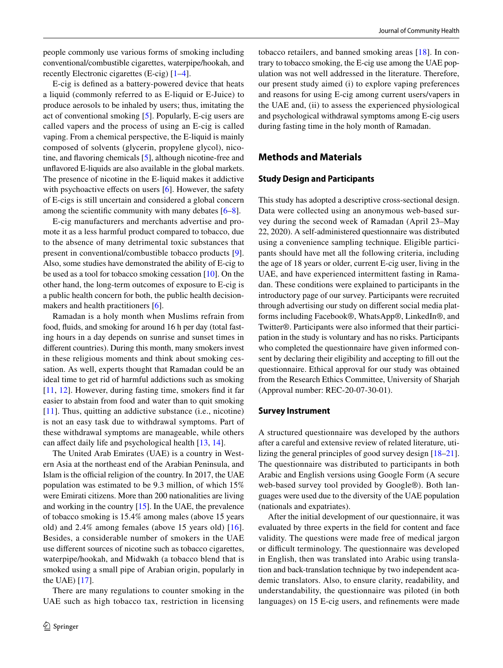people commonly use various forms of smoking including conventional/combustible cigarettes, waterpipe/hookah, and recently Electronic cigarettes (E-cig) [\[1](#page-9-0)[–4](#page-9-3)].

E-cig is defined as a battery-powered device that heats a liquid (commonly referred to as E-liquid or E-Juice) to produce aerosols to be inhaled by users; thus, imitating the act of conventional smoking [[5\]](#page-9-4). Popularly, E-cig users are called vapers and the process of using an E-cig is called vaping. From a chemical perspective, the E-liquid is mainly composed of solvents (glycerin, propylene glycol), nicotine, and flavoring chemicals [[5\]](#page-9-4), although nicotine-free and unflavored E-liquids are also available in the global markets. The presence of nicotine in the E-liquid makes it addictive with psychoactive effects on users [\[6\]](#page-9-5). However, the safety of E-cigs is still uncertain and considered a global concern among the scientific community with many debates [\[6–](#page-9-5)[8\]](#page-9-6).

E-cig manufacturers and merchants advertise and promote it as a less harmful product compared to tobacco, due to the absence of many detrimental toxic substances that present in conventional/combustible tobacco products [\[9](#page-9-7)]. Also, some studies have demonstrated the ability of E-cig to be used as a tool for tobacco smoking cessation [\[10](#page-9-8)]. On the other hand, the long-term outcomes of exposure to E-cig is a public health concern for both, the public health decisionmakers and health practitioners [\[6](#page-9-5)].

Ramadan is a holy month when Muslims refrain from food, fluids, and smoking for around 16 h per day (total fasting hours in a day depends on sunrise and sunset times in different countries). During this month, many smokers invest in these religious moments and think about smoking cessation. As well, experts thought that Ramadan could be an ideal time to get rid of harmful addictions such as smoking [\[11,](#page-9-9) [12](#page-9-10)]. However, during fasting time, smokers find it far easier to abstain from food and water than to quit smoking [\[11\]](#page-9-9). Thus, quitting an addictive substance (i.e., nicotine) is not an easy task due to withdrawal symptoms. Part of these withdrawal symptoms are manageable, while others can affect daily life and psychological health [\[13](#page-9-11), [14\]](#page-9-12).

The United Arab Emirates (UAE) is a country in Western Asia at the northeast end of the Arabian Peninsula, and Islam is the official religion of the country. In 2017, the UAE population was estimated to be 9.3 million, of which 15% were Emirati citizens. More than 200 nationalities are living and working in the country [[15\]](#page-9-13). In the UAE, the prevalence of tobacco smoking is 15.4% among males (above 15 years old) and 2.4% among females (above 15 years old) [[16](#page-9-14)]. Besides, a considerable number of smokers in the UAE use different sources of nicotine such as tobacco cigarettes, waterpipe/hookah, and Midwakh (a tobacco blend that is smoked using a small pipe of Arabian origin, popularly in the UAE) [\[17](#page-9-15)].

There are many regulations to counter smoking in the UAE such as high tobacco tax, restriction in licensing

tobacco retailers, and banned smoking areas [\[18\]](#page-10-0). In contrary to tobacco smoking, the E-cig use among the UAE population was not well addressed in the literature. Therefore, our present study aimed (i) to explore vaping preferences and reasons for using E-cig among current users/vapers in the UAE and, (ii) to assess the experienced physiological and psychological withdrawal symptoms among E-cig users during fasting time in the holy month of Ramadan.

# **Methods and Materials**

# **Study Design and Participants**

This study has adopted a descriptive cross-sectional design. Data were collected using an anonymous web-based survey during the second week of Ramadan (April 23–May 22, 2020). A self-administered questionnaire was distributed using a convenience sampling technique. Eligible participants should have met all the following criteria, including the age of 18 years or older, current E-cig user, living in the UAE, and have experienced intermittent fasting in Ramadan. These conditions were explained to participants in the introductory page of our survey. Participants were recruited through advertising our study on different social media platforms including Facebook®, WhatsApp®, LinkedIn®, and Twitter®. Participants were also informed that their participation in the study is voluntary and has no risks. Participants who completed the questionnaire have given informed consent by declaring their eligibility and accepting to fill out the questionnaire. Ethical approval for our study was obtained from the Research Ethics Committee, University of Sharjah (Approval number: REC-20-07-30-01).

# **Survey Instrument**

A structured questionnaire was developed by the authors after a careful and extensive review of related literature, utilizing the general principles of good survey design [\[18](#page-10-0)[–21](#page-10-1)]. The questionnaire was distributed to participants in both Arabic and English versions using Google Form (A secure web-based survey tool provided by Google®). Both languages were used due to the diversity of the UAE population (nationals and expatriates).

After the initial development of our questionnaire, it was evaluated by three experts in the field for content and face validity. The questions were made free of medical jargon or difficult terminology. The questionnaire was developed in English, then was translated into Arabic using translation and back-translation technique by two independent academic translators. Also, to ensure clarity, readability, and understandability, the questionnaire was piloted (in both languages) on 15 E-cig users, and refinements were made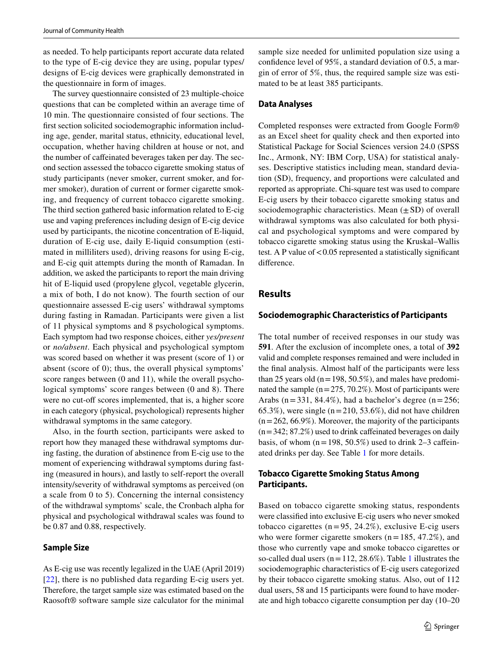as needed. To help participants report accurate data related to the type of E-cig device they are using, popular types/ designs of E-cig devices were graphically demonstrated in the questionnaire in form of images.

The survey questionnaire consisted of 23 multiple-choice questions that can be completed within an average time of 10 min. The questionnaire consisted of four sections. The first section solicited sociodemographic information including age, gender, marital status, ethnicity, educational level, occupation, whether having children at house or not, and the number of caffeinated beverages taken per day. The second section assessed the tobacco cigarette smoking status of study participants (never smoker, current smoker, and former smoker), duration of current or former cigarette smoking, and frequency of current tobacco cigarette smoking. The third section gathered basic information related to E-cig use and vaping preferences including design of E-cig device used by participants, the nicotine concentration of E-liquid, duration of E-cig use, daily E-liquid consumption (estimated in milliliters used), driving reasons for using E-cig, and E-cig quit attempts during the month of Ramadan. In addition, we asked the participants to report the main driving hit of E-liquid used (propylene glycol, vegetable glycerin, a mix of both, I do not know). The fourth section of our questionnaire assessed E-cig users' withdrawal symptoms during fasting in Ramadan. Participants were given a list of 11 physical symptoms and 8 psychological symptoms. Each symptom had two response choices, either *yes/present* or *no/absent*. Each physical and psychological symptom was scored based on whether it was present (score of 1) or absent (score of 0); thus, the overall physical symptoms' score ranges between (0 and 11), while the overall psychological symptoms' score ranges between (0 and 8). There were no cut-off scores implemented, that is, a higher score in each category (physical, psychological) represents higher withdrawal symptoms in the same category.

Also, in the fourth section, participants were asked to report how they managed these withdrawal symptoms during fasting, the duration of abstinence from E-cig use to the moment of experiencing withdrawal symptoms during fasting (measured in hours), and lastly to self-report the overall intensity/severity of withdrawal symptoms as perceived (on a scale from 0 to 5). Concerning the internal consistency of the withdrawal symptoms' scale, the Cronbach alpha for physical and psychological withdrawal scales was found to be 0.87 and 0.88, respectively.

#### **Sample Size**

As E-cig use was recently legalized in the UAE (April 2019) [\[22\]](#page-10-2), there is no published data regarding E-cig users yet. Therefore, the target sample size was estimated based on the Raosoft® software sample size calculator for the minimal sample size needed for unlimited population size using a confidence level of 95%, a standard deviation of 0.5, a margin of error of 5%, thus, the required sample size was estimated to be at least 385 participants.

#### **Data Analyses**

Completed responses were extracted from Google Form® as an Excel sheet for quality check and then exported into Statistical Package for Social Sciences version 24.0 (SPSS Inc., Armonk, NY: IBM Corp, USA) for statistical analyses. Descriptive statistics including mean, standard deviation (SD), frequency, and proportions were calculated and reported as appropriate. Chi-square test was used to compare E-cig users by their tobacco cigarette smoking status and sociodemographic characteristics. Mean  $(\pm SD)$  of overall withdrawal symptoms was also calculated for both physical and psychological symptoms and were compared by tobacco cigarette smoking status using the Kruskal–Wallis test. A P value of < 0.05 represented a statistically significant difference.

# **Results**

#### **Sociodemographic Characteristics of Participants**

The total number of received responses in our study was **591**. After the exclusion of incomplete ones, a total of **392** valid and complete responses remained and were included in the final analysis. Almost half of the participants were less than 25 years old ( $n = 198, 50.5\%$ ), and males have predominated the sample  $(n = 275, 70.2\%)$ . Most of participants were Arabs ( $n = 331$ , 84.4%), had a bachelor's degree ( $n = 256$ ; 65.3%), were single  $(n = 210, 53.6\%)$ , did not have children  $(n = 262, 66.9\%)$ . Moreover, the majority of the participants  $(n = 342; 87.2\%)$  used to drink caffeinated beverages on daily basis, of whom  $(n = 198, 50.5\%)$  used to drink 2–3 caffeinated drinks per day. See Table [1](#page-3-0) for more details.

# **Tobacco Cigarette Smoking Status Among Participants.**

Based on tobacco cigarette smoking status, respondents were classified into exclusive E-cig users who never smoked tobacco cigarettes ( $n = 95$ , 24.2%), exclusive E-cig users who were former cigarette smokers  $(n = 185, 47.2\%)$ , and those who currently vape and smoke tobacco cigarettes or so-called dual users ( $n = 112, 28.6\%$  $n = 112, 28.6\%$  $n = 112, 28.6\%$ ). Table 1 illustrates the sociodemographic characteristics of E-cig users categorized by their tobacco cigarette smoking status. Also, out of 112 dual users, 58 and 15 participants were found to have moderate and high tobacco cigarette consumption per day (10–20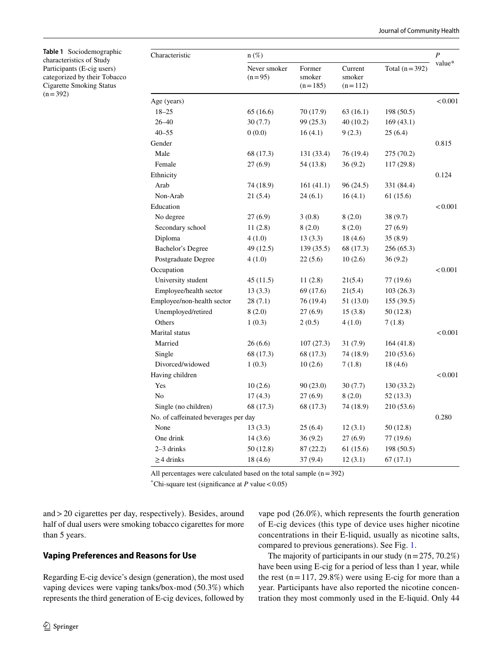<span id="page-3-0"></span>**Table 1** Sociodemographic characteristics of Study Participants (E-cig users) categorized by their Tobacco Cigarette Smoking Status  $(n = 392)$ 

| Characteristic                       | $n(\%)$                  |                               |                                |                 |         |  |
|--------------------------------------|--------------------------|-------------------------------|--------------------------------|-----------------|---------|--|
|                                      | Never smoker<br>$(n=95)$ | Former<br>smoker<br>$(n=185)$ | Current<br>smoker<br>$(n=112)$ | Total $(n=392)$ | value*  |  |
| Age (years)                          |                          |                               |                                |                 | < 0.001 |  |
| $18 - 25$                            | 65(16.6)                 | 70 (17.9)                     | 63(16.1)                       | 198 (50.5)      |         |  |
| $26 - 40$                            | 30(7.7)                  | 99 (25.3)                     | 40(10.2)                       | 169(43.1)       |         |  |
| $40 - 55$                            | 0(0.0)                   | 16(4.1)                       | 9(2.3)                         | 25(6.4)         |         |  |
| Gender                               |                          |                               |                                |                 | 0.815   |  |
| Male                                 | 68 (17.3)                | 131 (33.4)                    | 76 (19.4)                      | 275 (70.2)      |         |  |
| Female                               | 27(6.9)                  | 54 (13.8)                     | 36(9.2)                        | 117(29.8)       |         |  |
| Ethnicity                            |                          |                               |                                |                 | 0.124   |  |
| Arab                                 | 74 (18.9)                | 161(41.1)                     | 96 (24.5)                      | 331 (84.4)      |         |  |
| Non-Arab                             | 21 (5.4)                 | 24(6.1)                       | 16(4.1)                        | 61 (15.6)       |         |  |
| Education                            |                          |                               |                                |                 | < 0.001 |  |
| No degree                            | 27 (6.9)                 | 3(0.8)                        | 8(2.0)                         | 38 (9.7)        |         |  |
| Secondary school                     | 11(2.8)                  | 8(2.0)                        | 8(2.0)                         | 27(6.9)         |         |  |
| Diploma                              | 4(1.0)                   | 13(3.3)                       | 18(4.6)                        | 35 (8.9)        |         |  |
| Bachelor's Degree                    | 49 (12.5)                | 139(35.5)                     | 68 (17.3)                      | 256 (65.3)      |         |  |
| Postgraduate Degree                  | 4(1.0)                   | 22(5.6)                       | 10(2.6)                        | 36 (9.2)        |         |  |
| Occupation                           |                          |                               |                                |                 | < 0.001 |  |
| University student                   | 45 (11.5)                | 11(2.8)                       | 21(5.4)                        | 77 (19.6)       |         |  |
| Employee/health sector               | 13(3.3)                  | 69 (17.6)                     | 21(5.4)                        | 103(26.3)       |         |  |
| Employee/non-health sector           | 28(7.1)                  | 76 (19.4)                     | 51 (13.0)                      | 155(39.5)       |         |  |
| Unemployed/retired                   | 8(2.0)                   | 27(6.9)                       | 15(3.8)                        | 50 (12.8)       |         |  |
| Others                               | 1(0.3)                   | 2(0.5)                        | 4(1.0)                         | 7(1.8)          |         |  |
| Marital status                       |                          |                               |                                |                 | < 0.001 |  |
| Married                              | 26(6.6)                  | 107(27.3)                     | 31(7.9)                        | 164(41.8)       |         |  |
| Single                               | 68 (17.3)                | 68 (17.3)                     | 74 (18.9)                      | 210 (53.6)      |         |  |
| Divorced/widowed                     | 1(0.3)                   | 10(2.6)                       | 7(1.8)                         | 18(4.6)         |         |  |
| Having children                      |                          |                               |                                |                 | < 0.001 |  |
| Yes                                  | 10(2.6)                  | 90(23.0)                      | 30(7.7)                        | 130 (33.2)      |         |  |
| No                                   | 17(4.3)                  | 27(6.9)                       | 8(2.0)                         | 52 (13.3)       |         |  |
| Single (no children)                 | 68 (17.3)                | 68 (17.3)                     | 74 (18.9)                      | 210 (53.6)      |         |  |
| No. of caffeinated beverages per day |                          |                               |                                |                 | 0.280   |  |
| None                                 | 13(3.3)                  | 25(6.4)                       | 12(3.1)                        | 50 (12.8)       |         |  |
| One drink                            | 14(3.6)                  | 36(9.2)                       | 27(6.9)                        | 77 (19.6)       |         |  |
| 2-3 drinks                           | 50 (12.8)                | 87(22.2)                      | 61 (15.6)                      | 198 (50.5)      |         |  |
| $\geq$ 4 drinks                      | 18 (4.6)                 | 37(9.4)                       | 12(3.1)                        | 67 (17.1)       |         |  |
|                                      |                          |                               |                                |                 |         |  |

All percentages were calculated based on the total sample  $(n = 392)$ 

\*Chi-square test (significance at  $P$  value < 0.05)

and > 20 cigarettes per day, respectively). Besides, around half of dual users were smoking tobacco cigarettes for more than 5 years.

## **Vaping Preferences and Reasons for Use**

Regarding E-cig device's design (generation), the most used vaping devices were vaping tanks/box-mod (50.3%) which represents the third generation of E-cig devices, followed by vape pod (26.0%), which represents the fourth generation of E-cig devices (this type of device uses higher nicotine concentrations in their E-liquid, usually as nicotine salts, compared to previous generations). See Fig. [1](#page-4-0).

The majority of participants in our study  $(n = 275, 70.2\%)$ have been using E-cig for a period of less than 1 year, while the rest  $(n = 117, 29.8\%)$  were using E-cig for more than a year. Participants have also reported the nicotine concentration they most commonly used in the E-liquid. Only 44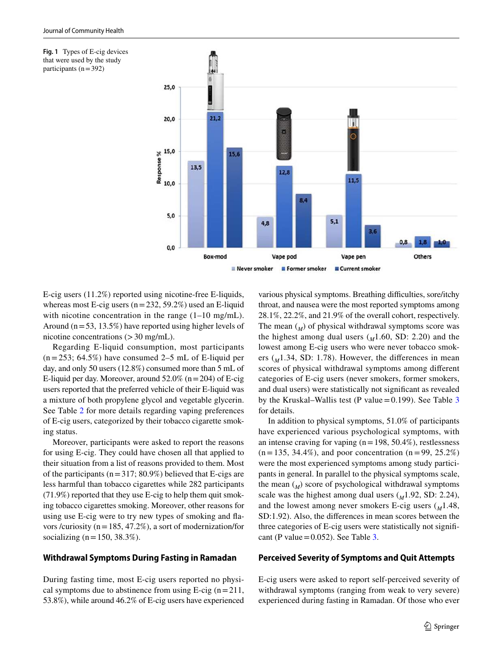<span id="page-4-0"></span>



E-cig users (11.2%) reported using nicotine-free E-liquids, whereas most E-cig users  $(n = 232, 59.2\%)$  used an E-liquid with nicotine concentration in the range  $(1-10 \text{ mg/mL})$ . Around ( $n = 53$ , 13.5%) have reported using higher levels of nicotine concentrations (> 30 mg/mL).

Regarding E-liquid consumption, most participants  $(n = 253; 64.5%)$  have consumed 2–5 mL of E-liquid per day, and only 50 users (12.8%) consumed more than 5 mL of E-liquid per day. Moreover, around  $52.0\%$  (n = 204) of E-cig users reported that the preferred vehicle of their E-liquid was a mixture of both propylene glycol and vegetable glycerin. See Table [2](#page-5-0) for more details regarding vaping preferences of E-cig users, categorized by their tobacco cigarette smoking status.

Moreover, participants were asked to report the reasons for using E-cig. They could have chosen all that applied to their situation from a list of reasons provided to them. Most of the participants ( $n = 317$ ; 80.9%) believed that E-cigs are less harmful than tobacco cigarettes while 282 participants (71.9%) reported that they use E-cig to help them quit smoking tobacco cigarettes smoking. Moreover, other reasons for using use E-cig were to try new types of smoking and flavors /curiosity ( $n = 185, 47.2\%$ ), a sort of modernization/for socializing ( $n = 150, 38.3\%$ ).

## **Withdrawal Symptoms During Fasting in Ramadan**

During fasting time, most E-cig users reported no physical symptoms due to abstinence from using E-cig  $(n=211,$ 53.8%), while around 46.2% of E-cig users have experienced various physical symptoms. Breathing difficulties, sore/itchy throat, and nausea were the most reported symptoms among 28.1%, 22.2%, and 21.9% of the overall cohort, respectively. The mean  $\binom{M}{M}$  of physical withdrawal symptoms score was the highest among dual users  $(M1.60, SD: 2.20)$  and the lowest among E-cig users who were never tobacco smokers  $(_{M}1.34$ , SD: 1.78). However, the differences in mean scores of physical withdrawal symptoms among different categories of E-cig users (never smokers, former smokers, and dual users) were statistically not significant as revealed by the Kruskal–Wallis test (P value =  $0.199$ ). See Table [3](#page-6-0) for details.

In addition to physical symptoms, 51.0% of participants have experienced various psychological symptoms, with an intense craving for vaping  $(n = 198, 50.4\%)$ , restlessness  $(n = 135, 34.4\%)$ , and poor concentration  $(n = 99, 25.2\%)$ were the most experienced symptoms among study participants in general. In parallel to the physical symptoms scale, the mean  $\binom{M}{M}$  score of psychological withdrawal symptoms scale was the highest among dual users ( $M$ 1.92, SD: 2.24), and the lowest among never smokers E-cig users  $\binom{M}{1.48}$ , SD:1.92). Also, the differences in mean scores between the three categories of E-cig users were statistically not significant (P value =  $0.052$ ). See Table [3](#page-6-0).

#### **Perceived Severity of Symptoms and Quit Attempts**

E-cig users were asked to report self-perceived severity of withdrawal symptoms (ranging from weak to very severe) experienced during fasting in Ramadan. Of those who ever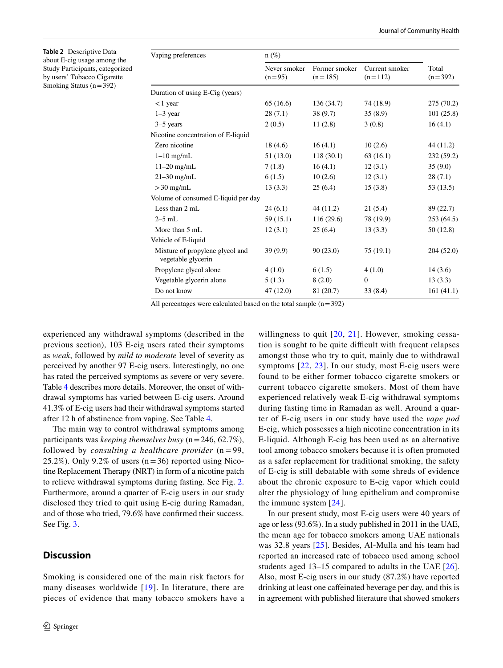<span id="page-5-0"></span>**Table 2** Descriptive Data about E-cig usage among the Study Participants, categorized by users' Tobacco Cigarette Smoking Status  $(n = 392)$ 

| $n(\%)$                  |                            |                             |                    |
|--------------------------|----------------------------|-----------------------------|--------------------|
| Never smoker<br>$(n=95)$ | Former smoker<br>$(n=185)$ | Current smoker<br>$(n=112)$ | Total<br>$(n=392)$ |
|                          |                            |                             |                    |
| 65 (16.6)                | 136 (34.7)                 | 74 (18.9)                   | 275 (70.2)         |
| 28(7.1)                  | 38 (9.7)                   | 35(8.9)                     | 101(25.8)          |
| 2(0.5)                   | 11(2.8)                    | 3(0.8)                      | 16(4.1)            |
|                          |                            |                             |                    |
| 18(4.6)                  | 16(4.1)                    | 10(2.6)                     | 44 (11.2)          |
| 51(13.0)                 | 118(30.1)                  | 63(16.1)                    | 232 (59.2)         |
| 7(1.8)                   | 16(4.1)                    | 12(3.1)                     | 35(9.0)            |
| 6(1.5)                   | 10(2.6)                    | 12(3.1)                     | 28(7.1)            |
| 13(3.3)                  | 25(6.4)                    | 15(3.8)                     | 53(13.5)           |
|                          |                            |                             |                    |
| 24(6.1)                  | 44 (11.2)                  | 21(5.4)                     | 89 (22.7)          |
| 59 (15.1)                | 116(29.6)                  | 78 (19.9)                   | 253(64.5)          |
| 12(3.1)                  | 25(6.4)                    | 13(3.3)                     | 50 (12.8)          |
|                          |                            |                             |                    |
| 39(9.9)                  | 90(23.0)                   | 75(19.1)                    | 204 (52.0)         |
| 4(1.0)                   | 6(1.5)                     | 4(1.0)                      | 14(3.6)            |
| 5(1.3)                   | 8(2.0)                     | $\boldsymbol{0}$            | 13(3.3)            |
| 47(12.0)                 | 81 (20.7)                  | 33(8.4)                     | 161(41.1)          |
|                          |                            |                             |                    |

All percentages were calculated based on the total sample  $(n = 392)$ 

experienced any withdrawal symptoms (described in the previous section), 103 E-cig users rated their symptoms as *weak*, followed by *mild to moderate* level of severity as perceived by another 97 E-cig users. Interestingly, no one has rated the perceived symptoms as severe or very severe. Table [4](#page-7-0) describes more details. Moreover, the onset of withdrawal symptoms has varied between E-cig users. Around 41.3% of E-cig users had their withdrawal symptoms started after 12 h of abstinence from vaping. See Table [4](#page-7-0).

The main way to control withdrawal symptoms among participants was *keeping themselves busy* (n = 246, 62.7%), followed by *consulting a healthcare provider*  $(n = 99,$ 25.2%). Only 9.2% of users  $(n=36)$  reported using Nicotine Replacement Therapy (NRT) in form of a nicotine patch to relieve withdrawal symptoms during fasting. See Fig. [2.](#page-7-1) Furthermore, around a quarter of E-cig users in our study disclosed they tried to quit using E-cig during Ramadan, and of those who tried, 79.6% have confirmed their success. See Fig. [3.](#page-8-0)

# **Discussion**

Smoking is considered one of the main risk factors for many diseases worldwide  $[19]$  $[19]$  $[19]$ . In literature, there are pieces of evidence that many tobacco smokers have a

willingness to quit [[20,](#page-10-4) [21](#page-10-1)]. However, smoking cessation is sought to be quite difficult with frequent relapses amongst those who try to quit, mainly due to withdrawal symptoms [[22,](#page-10-2) [23\]](#page-10-5). In our study, most E-cig users were found to be either former tobacco cigarette smokers or current tobacco cigarette smokers. Most of them have experienced relatively weak E-cig withdrawal symptoms during fasting time in Ramadan as well. Around a quarter of E-cig users in our study have used the *vape pod* E-cig, which possesses a high nicotine concentration in its E-liquid. Although E-cig has been used as an alternative tool among tobacco smokers because it is often promoted as a safer replacement for traditional smoking, the safety of E-cig is still debatable with some shreds of evidence about the chronic exposure to E-cig vapor which could alter the physiology of lung epithelium and compromise the immune system [[24](#page-10-6)].

In our present study, most E-cig users were 40 years of age or less (93.6%). In a study published in 2011 in the UAE, the mean age for tobacco smokers among UAE nationals was 32.8 years [\[25\]](#page-10-7). Besides, Al-Mulla and his team had reported an increased rate of tobacco used among school students aged 13–15 compared to adults in the UAE [[26](#page-10-8)]. Also, most E-cig users in our study (87.2%) have reported drinking at least one caffeinated beverage per day, and this is in agreement with published literature that showed smokers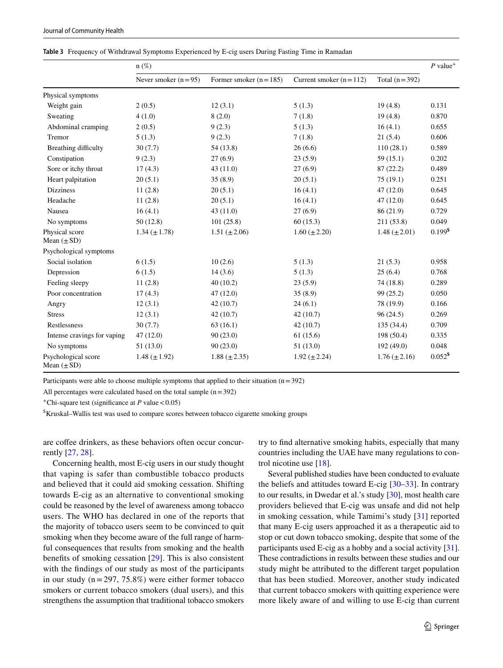<span id="page-6-0"></span>

|  |  | Table 3 Frequency of Withdrawal Symptoms Experienced by E-cig users During Fasting Time in Ramadan |  |  |  |  |
|--|--|----------------------------------------------------------------------------------------------------|--|--|--|--|
|--|--|----------------------------------------------------------------------------------------------------|--|--|--|--|

|                                        | $n(\%)$               |                         |                          |                     | $P$ value <sup>+</sup> |
|----------------------------------------|-----------------------|-------------------------|--------------------------|---------------------|------------------------|
|                                        | Never smoker $(n=95)$ | Former smoker $(n=185)$ | Current smoker $(n=112)$ | Total $(n=392)$     |                        |
| Physical symptoms                      |                       |                         |                          |                     |                        |
| Weight gain                            | 2(0.5)                | 12(3.1)                 | 5(1.3)                   | 19(4.8)             | 0.131                  |
| Sweating                               | 4(1.0)                | 8(2.0)                  | 7(1.8)                   | 19(4.8)             | 0.870                  |
| Abdominal cramping                     | 2(0.5)                | 9(2.3)                  | 5(1.3)                   | 16(4.1)             | 0.655                  |
| Tremor                                 | 5(1.3)                | 9(2.3)                  | 7(1.8)                   | 21(5.4)             | 0.606                  |
| Breathing difficulty                   | 30(7.7)               | 54(13.8)                | 26(6.6)                  | 110(28.1)           | 0.589                  |
| Constipation                           | 9(2.3)                | 27(6.9)                 | 23(5.9)                  | 59(15.1)            | 0.202                  |
| Sore or itchy throat                   | 17(4.3)               | 43(11.0)                | 27(6.9)                  | 87(22.2)            | 0.489                  |
| Heart palpitation                      | 20(5.1)               | 35(8.9)                 | 20(5.1)                  | 75(19.1)            | 0.251                  |
| <b>Dizziness</b>                       | 11(2.8)               | 20(5.1)                 | 16(4.1)                  | 47(12.0)            | 0.645                  |
| Headache                               | 11(2.8)               | 20(5.1)                 | 16(4.1)                  | 47(12.0)            | 0.645                  |
| Nausea                                 | 16(4.1)               | 43(11.0)                | 27(6.9)                  | 86 (21.9)           | 0.729                  |
| No symptoms                            | 50(12.8)              | 101(25.8)               | 60(15.3)                 | 211 (53.8)          | 0.049                  |
| Physical score<br>Mean $(\pm SD)$      | $1.34 \ (\pm 1.78)$   | 1.51 $(\pm 2.06)$       | $1.60 \ (\pm 2.20)$      | $1.48 (\pm 2.01)$   | $0.199$ <sup>\$</sup>  |
| Psychological symptoms                 |                       |                         |                          |                     |                        |
| Social isolation                       | 6(1.5)                | 10(2.6)                 | 5(1.3)                   | 21(5.3)             | 0.958                  |
| Depression                             | 6(1.5)                | 14(3.6)                 | 5(1.3)                   | 25(6.4)             | 0.768                  |
| Feeling sleepy                         | 11(2.8)               | 40(10.2)                | 23(5.9)                  | 74 (18.8)           | 0.289                  |
| Poor concentration                     | 17(4.3)               | 47(12.0)                | 35(8.9)                  | 99 (25.2)           | 0.050                  |
| Angry                                  | 12(3.1)               | 42(10.7)                | 24(6.1)                  | 78 (19.9)           | 0.166                  |
| <b>Stress</b>                          | 12(3.1)               | 42(10.7)                | 42(10.7)                 | 96(24.5)            | 0.269                  |
| Restlessness                           | 30(7.7)               | 63(16.1)                | 42(10.7)                 | 135(34.4)           | 0.709                  |
| Intense cravings for vaping            | 47(12.0)              | 90(23.0)                | 61(15.6)                 | 198 (50.4)          | 0.335                  |
| No symptoms                            | 51(13.0)              | 90(23.0)                | 51(13.0)                 | 192 (49.0)          | 0.048                  |
| Psychological score<br>Mean $(\pm SD)$ | 1.48 $(\pm 1.92)$     | $1.88 (\pm 2.35)$       | $1.92 \ (\pm 2.24)$      | $1.76 \ (\pm 2.16)$ | $0.052$ <sup>\$</sup>  |

Participants were able to choose multiple symptoms that applied to their situation  $(n = 392)$ 

All percentages were calculated based on the total sample  $(n = 392)$ 

+ Chi-square test (significance at *P* value < 0.05)

\$ Kruskal–Wallis test was used to compare scores between tobacco cigarette smoking groups

are coffee drinkers, as these behaviors often occur concurrently [\[27](#page-10-9), [28](#page-10-10)].

Concerning health, most E-cig users in our study thought that vaping is safer than combustible tobacco products and believed that it could aid smoking cessation. Shifting towards E-cig as an alternative to conventional smoking could be reasoned by the level of awareness among tobacco users. The WHO has declared in one of the reports that the majority of tobacco users seem to be convinced to quit smoking when they become aware of the full range of harmful consequences that results from smoking and the health benefits of smoking cessation [[29](#page-10-11)]. This is also consistent with the findings of our study as most of the participants in our study  $(n = 297, 75.8\%)$  were either former tobacco smokers or current tobacco smokers (dual users), and this strengthens the assumption that traditional tobacco smokers try to find alternative smoking habits, especially that many countries including the UAE have many regulations to control nicotine use [[18\]](#page-10-0).

Several published studies have been conducted to evaluate the beliefs and attitudes toward E-cig [[30–](#page-10-12)[33](#page-10-13)]. In contrary to our results, in Dwedar et al.'s study [\[30](#page-10-12)], most health care providers believed that E-cig was unsafe and did not help in smoking cessation, while Tamimi's study [[31\]](#page-10-14) reported that many E-cig users approached it as a therapeutic aid to stop or cut down tobacco smoking, despite that some of the participants used E-cig as a hobby and a social activity [\[31](#page-10-14)]. These contradictions in results between these studies and our study might be attributed to the different target population that has been studied. Moreover, another study indicated that current tobacco smokers with quitting experience were more likely aware of and willing to use E-cig than current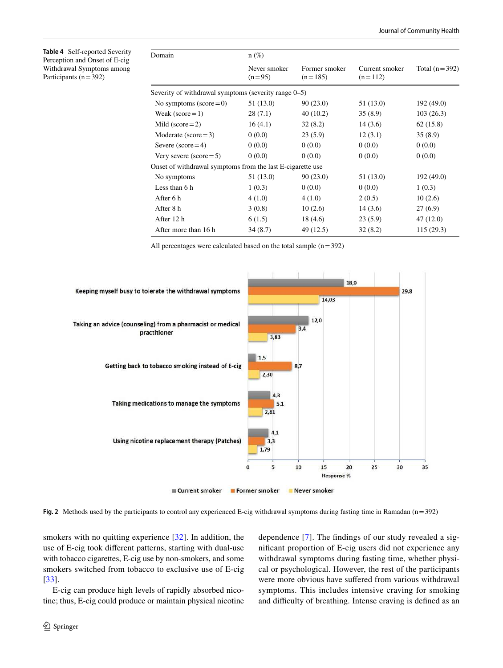<span id="page-7-0"></span>**Table 4** Self-reported Severity Perception and Onset of E-cig Withdrawal Symptoms among Participants ( $n = 392$ )

| Domain                                                     | $n(\%)$                  |                            |                             |                 |  |  |
|------------------------------------------------------------|--------------------------|----------------------------|-----------------------------|-----------------|--|--|
|                                                            | Never smoker<br>$(n=95)$ | Former smoker<br>$(n=185)$ | Current smoker<br>$(n=112)$ | Total $(n=392)$ |  |  |
| Severity of withdrawal symptoms (severity range $0-5$ )    |                          |                            |                             |                 |  |  |
| No symptoms (score $= 0$ )                                 | 51 (13.0)                | 90(23.0)                   | 51 (13.0)                   | 192 (49.0)      |  |  |
| Weak (score $= 1$ )                                        | 28(7.1)                  | 40(10.2)                   | 35(8.9)                     | 103(26.3)       |  |  |
| Mild $(score=2)$                                           | 16(4.1)                  | 32(8.2)                    | 14(3.6)                     | 62(15.8)        |  |  |
| Moderate ( $score = 3$ )                                   | 0(0.0)                   | 23(5.9)                    | 12(3.1)                     | 35(8.9)         |  |  |
| Severe (score $=$ 4)                                       | 0(0.0)                   | 0(0.0)                     | 0(0.0)                      | 0(0.0)          |  |  |
| Very severe $(score=5)$                                    | 0(0.0)                   | 0(0.0)                     | 0(0.0)                      | 0(0.0)          |  |  |
| Onset of withdrawal symptoms from the last E-cigarette use |                          |                            |                             |                 |  |  |
| No symptoms                                                | 51 (13.0)                | 90(23.0)                   | 51 (13.0)                   | 192 (49.0)      |  |  |
| Less than 6 h                                              | 1(0.3)                   | 0(0.0)                     | 0(0.0)                      | 1(0.3)          |  |  |
| After 6 h                                                  | 4(1.0)                   | 4(1.0)                     | 2(0.5)                      | 10(2.6)         |  |  |
| After 8 h                                                  | 3(0.8)                   | 10(2.6)                    | 14(3.6)                     | 27(6.9)         |  |  |
| After 12 h                                                 | 6(1.5)                   | 18 (4.6)                   | 23(5.9)                     | 47(12.0)        |  |  |
| After more than 16 h                                       | 34(8.7)                  | 49 (12.5)                  | 32(8.2)                     | 115 (29.3)      |  |  |

All percentages were calculated based on the total sample  $(n = 392)$ 



<span id="page-7-1"></span>**Fig. 2** Methods used by the participants to control any experienced E-cig withdrawal symptoms during fasting time in Ramadan (n = 392)

smokers with no quitting experience [\[32](#page-10-15)]. In addition, the use of E-cig took different patterns, starting with dual-use with tobacco cigarettes, E-cig use by non-smokers, and some smokers switched from tobacco to exclusive use of E-cig [\[33\]](#page-10-13).

E-cig can produce high levels of rapidly absorbed nicotine; thus, E-cig could produce or maintain physical nicotine dependence [\[7](#page-9-16)]. The findings of our study revealed a significant proportion of E-cig users did not experience any withdrawal symptoms during fasting time, whether physical or psychological. However, the rest of the participants were more obvious have suffered from various withdrawal symptoms. This includes intensive craving for smoking and difficulty of breathing. Intense craving is defined as an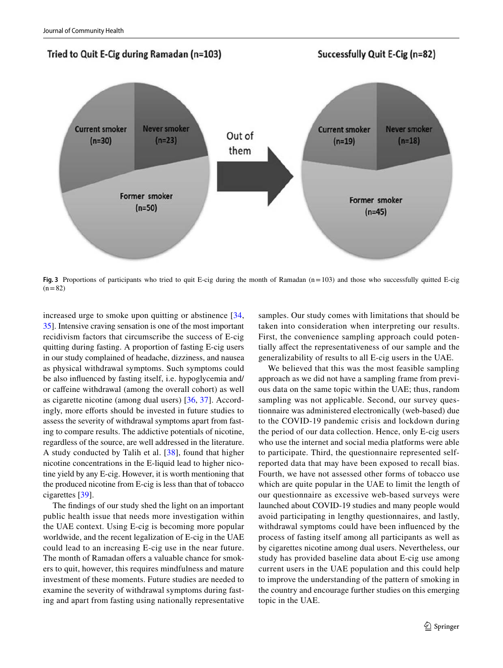

<span id="page-8-0"></span>Fig. 3 Proportions of participants who tried to quit E-cig during the month of Ramadan (n=103) and those who successfully quitted E-cig  $(n = 82)$ 

increased urge to smoke upon quitting or abstinence [\[34,](#page-10-16) [35\]](#page-10-17). Intensive craving sensation is one of the most important recidivism factors that circumscribe the success of E-cig quitting during fasting. A proportion of fasting E-cig users in our study complained of headache, dizziness, and nausea as physical withdrawal symptoms. Such symptoms could be also influenced by fasting itself, i.e. hypoglycemia and/ or caffeine withdrawal (among the overall cohort) as well as cigarette nicotine (among dual users) [\[36](#page-10-18), [37](#page-10-19)]. Accordingly, more efforts should be invested in future studies to assess the severity of withdrawal symptoms apart from fasting to compare results. The addictive potentials of nicotine, regardless of the source, are well addressed in the literature. A study conducted by Talih et al. [[38\]](#page-10-20), found that higher nicotine concentrations in the E-liquid lead to higher nicotine yield by any E-cig. However, it is worth mentioning that the produced nicotine from E-cig is less than that of tobacco cigarettes [\[39\]](#page-10-21).

The findings of our study shed the light on an important public health issue that needs more investigation within the UAE context. Using E-cig is becoming more popular worldwide, and the recent legalization of E-cig in the UAE could lead to an increasing E-cig use in the near future. The month of Ramadan offers a valuable chance for smokers to quit, however, this requires mindfulness and mature investment of these moments. Future studies are needed to examine the severity of withdrawal symptoms during fasting and apart from fasting using nationally representative samples. Our study comes with limitations that should be taken into consideration when interpreting our results. First, the convenience sampling approach could potentially affect the representativeness of our sample and the generalizability of results to all E-cig users in the UAE.

We believed that this was the most feasible sampling approach as we did not have a sampling frame from previous data on the same topic within the UAE; thus, random sampling was not applicable. Second, our survey questionnaire was administered electronically (web-based) due to the COVID-19 pandemic crisis and lockdown during the period of our data collection. Hence, only E-cig users who use the internet and social media platforms were able to participate. Third, the questionnaire represented selfreported data that may have been exposed to recall bias. Fourth, we have not assessed other forms of tobacco use which are quite popular in the UAE to limit the length of our questionnaire as excessive web-based surveys were launched about COVID-19 studies and many people would avoid participating in lengthy questionnaires, and lastly, withdrawal symptoms could have been influenced by the process of fasting itself among all participants as well as by cigarettes nicotine among dual users. Nevertheless, our study has provided baseline data about E-cig use among current users in the UAE population and this could help to improve the understanding of the pattern of smoking in the country and encourage further studies on this emerging topic in the UAE.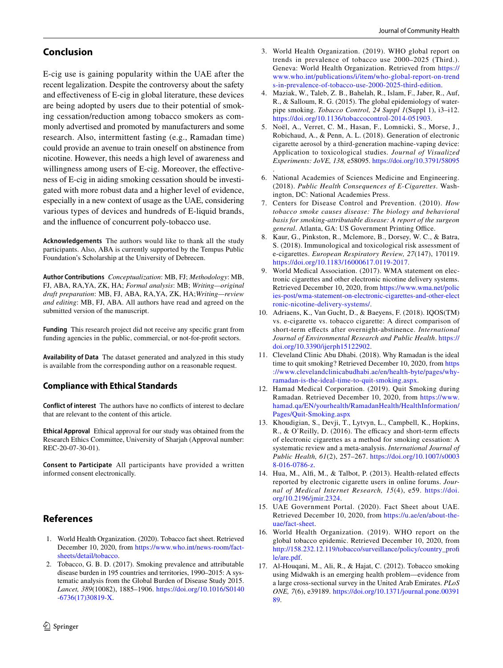## **Conclusion**

E-cig use is gaining popularity within the UAE after the recent legalization. Despite the controversy about the safety and effectiveness of E-cig in global literature, these devices are being adopted by users due to their potential of smoking cessation/reduction among tobacco smokers as commonly advertised and promoted by manufacturers and some research. Also, intermittent fasting (e.g., Ramadan time) could provide an avenue to train oneself on abstinence from nicotine. However, this needs a high level of awareness and willingness among users of E-cig. Moreover, the effectiveness of E-cig in aiding smoking cessation should be investigated with more robust data and a higher level of evidence, especially in a new context of usage as the UAE, considering various types of devices and hundreds of E-liquid brands, and the influence of concurrent poly-tobacco use.

**Acknowledgements** The authors would like to thank all the study participants. Also, ABA is currently supported by the Tempus Public Foundation's Scholarship at the University of Debrecen.

**Author Contributions** *Conceptualization*: MB, FJ; *Methodology*: MB, FJ, ABA, RA,YA, ZK, HA; *Formal analysis*: MB; *Writing—original draft preparation*: MB, FJ, ABA, RA,YA, ZK, HA;*Writing—review and editing*: MB, FJ, ABA. All authors have read and agreed on the submitted version of the manuscript.

**Funding** This research project did not receive any specific grant from funding agencies in the public, commercial, or not-for-profit sectors.

**Availability of Data** The dataset generated and analyzed in this study is available from the corresponding author on a reasonable request.

### **Compliance with Ethical Standards**

**Conflict of interest** The authors have no conflicts of interest to declare that are relevant to the content of this article.

**Ethical Approval** Ethical approval for our study was obtained from the Research Ethics Committee, University of Sharjah (Approval number: REC-20-07-30-01).

**Consent to Participate** All participants have provided a written informed consent electronically.

# **References**

- <span id="page-9-0"></span> 1. World Health Organization. (2020). Tobacco fact sheet. Retrieved December 10, 2020, from [https ://www.who.int/news-room/fact](https://www.who.int/news-room/fact-sheets/detail/tobacco)sheets/detail/tobacco.
- <span id="page-9-1"></span> 2. Tobacco, G. B. D. (2017). Smoking prevalence and attributable disease burden in 195 countries and territories, 1990–2015: A systematic analysis from the Global Burden of Disease Study 2015. *Lancet, 389*(10082), 1885–1906. [https ://doi.org/10.1016/S0140](https://doi.org/10.1016/S0140-6736(17)30819-X) [-6736\(17\)30819 -X.](https://doi.org/10.1016/S0140-6736(17)30819-X)
- <span id="page-9-2"></span> 3. World Health Organization. (2019). WHO global report on trends in prevalence of tobacco use 2000–2025 (Third.). Geneva: World Health Organization. Retrieved from https:// www.who.int/publications/i/item/who-global-report-on-trend s-in-prevalence-of-tobacco-use-2000-2025-third-edition.
- <span id="page-9-3"></span> 4. Maziak, W., Taleb, Z. B., Bahelah, R., Islam, F., Jaber, R., Auf, R., & Salloum, R. G. (2015). The global epidemiology of waterpipe smoking. *Tobacco Control, 24 Suppl 1*(Suppl 1), i3–i12. https://doi.org/10.1136/tobaccocontrol-2014-051903.
- <span id="page-9-4"></span> 5. Noël, A., Verret, C. M., Hasan, F., Lomnicki, S., Morse, J., Robichaud, A., & Penn, A. L. (2018). Generation of electronic cigarette aerosol by a third-generation machine-vaping device: Application to toxicological studies. *Journal of Visualized Experiments: JoVE, 138,* e58095. [https ://doi.org/10.3791/58095](https://doi.org/10.3791/58095) .
- <span id="page-9-5"></span> 6. National Academies of Sciences Medicine and Engineering. (2018). *Public Health Consequences of E-Cigarettes*. Washington, DC: National Academies Press.
- <span id="page-9-16"></span> 7. Centers for Disease Control and Prevention. (2010). *How tobacco smoke causes disease: The biology and behavioral basis for smoking-attributable disease: A report of the surgeon general*. Atlanta, GA: US Government Printing Office.
- <span id="page-9-6"></span> 8. Kaur, G., Pinkston, R., Mclemore, B., Dorsey, W. C., & Batra, S. (2018). Immunological and toxicological risk assessment of e-cigarettes. *European Respiratory Review, 27*(147), 170119. https://doi.org/10.1183/16000617.0119-2017.
- <span id="page-9-7"></span> 9. World Medical Association. (2017). WMA statement on electronic cigarettes and other electronic nicotine delivery systems. Retrieved December 10, 2020, from [https ://www.wma.net/polic](https://www.wma.net/policies-post/wma-statement-on-electronic-cigarettes-and-other-electronic-nicotine-delivery-systems/) ies-post/wma-statement-on-electronic-cigarettes-and-other-elect ronic-nicotine-delivery-systems/.
- <span id="page-9-8"></span> 10. Adriaens, K., Van Gucht, D., & Baeyens, F. (2018). IQOS(TM) vs. e-cigarette vs. tobacco cigarette: A direct comparison of short-term effects after overnight-abstinence. *International Journal of Environmental Research and Public Health*. [https ://](https://doi.org/10.3390/ijerph15122902) doi.org/10.3390/ijerph15122902.
- <span id="page-9-9"></span> 11. Cleveland Clinic Abu Dhabi. (2018). Why Ramadan is the ideal time to quit smoking? Retrieved December 10, 2020, from [https](https://www.clevelandclinicabudhabi.ae/en/health-byte/pages/why-ramadan-is-the-ideal-time-to-quit-smoking.aspx) ://www.clevelandclinicabudhabi.ae/en/health-byte/pages/whyramadan-is-the-ideal-time-to-quit-smoking.aspx.
- <span id="page-9-10"></span> 12. Hamad Medical Corporation. (2019). Quit Smoking during Ramadan. Retrieved December 10, 2020, from https://www. hamad.qa/EN/yourhealth/RamadanHealth/HealthInformation/ Pages/Quit-Smoking.aspx
- <span id="page-9-11"></span> 13. Khoudigian, S., Devji, T., Lytvyn, L., Campbell, K., Hopkins, R., & O'Reilly, D. (2016). The efficacy and short-term effects of electronic cigarettes as a method for smoking cessation: A systematic review and a meta-analysis. *International Journal of Public Health, 61*(2), 257–267. [https ://doi.org/10.1007/s0003](https://doi.org/10.1007/s00038-016-0786-z) [8-016-0786-z](https://doi.org/10.1007/s00038-016-0786-z).
- <span id="page-9-12"></span> 14. Hua, M., Alfi, M., & Talbot, P. (2013). Health-related effects reported by electronic cigarette users in online forums. *Journal of Medical Internet Research, 15*(4), e59. [https ://doi.](https://doi.org/10.2196/jmir.2324) [org/10.2196/jmir.2324](https://doi.org/10.2196/jmir.2324).
- <span id="page-9-13"></span> 15. UAE Government Portal. (2020). Fact Sheet about UAE. Retrieved December 10, 2020, from https://u.ae/en/about-the[uae/fact-sheet](https://u.ae/en/about-the-uae/fact-sheet) .
- <span id="page-9-14"></span> 16. World Health Organization. (2019). WHO report on the global tobacco epidemic. Retrieved December 10, 2020, from http://158.232.12.119/tobacco/surveillance/policy/country\_profi [le/are.pdf.](http://158.232.12.119/tobacco/surveillance/policy/country_profile/are.pdf)
- <span id="page-9-15"></span> 17. Al-Houqani, M., Ali, R., & Hajat, C. (2012). Tobacco smoking using Midwakh is an emerging health problem—evidence from a large cross-sectional survey in the United Arab Emirates. *PLoS ONE*, 7(6), e39189. https://doi.org/10.1371/journal.pone.00391 [89.](https://doi.org/10.1371/journal.pone.0039189)